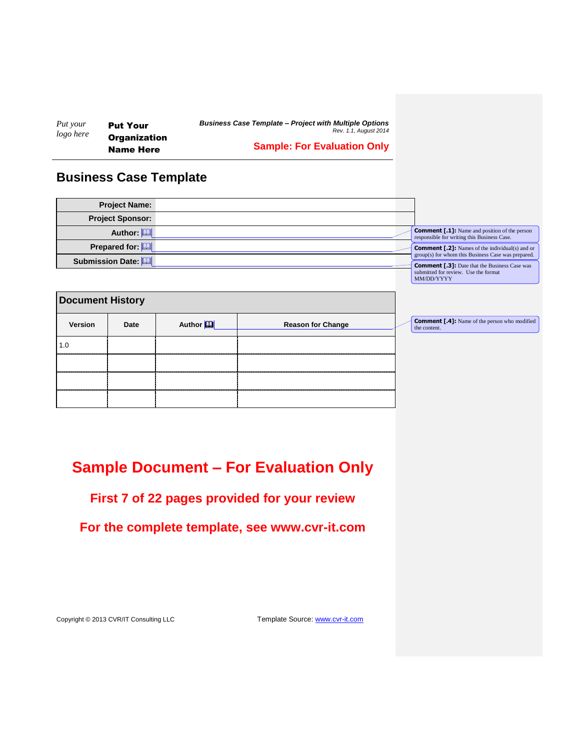| Put your  | <b>Put Your</b>     | <b>Business Case Template - Project with Multiple Options</b><br>Rev. 1.1. August 2014 |
|-----------|---------------------|----------------------------------------------------------------------------------------|
| logo here | <b>Organization</b> |                                                                                        |
|           | <b>Name Here</b>    | <b>Sample: For Evaluation Only</b>                                                     |

## **Business Case Template**

| <b>Project Name:</b>    |  |                                                                                                              |
|-------------------------|--|--------------------------------------------------------------------------------------------------------------|
| <b>Project Sponsor:</b> |  |                                                                                                              |
| Author: [               |  | <b>Comment [.1]:</b> Name and position of the person<br>responsible for writing this Business Case.          |
| Prepared for: [1]       |  | <b>Comment [.2]:</b> Names of the individual(s) and or<br>group(s) for whom this Business Case was prepared. |
| Submission Date:        |  | <b>Comment [.3]:</b> Date that the Business Case was<br>submitted for review. Use the format<br>MM/DD/YYYY   |

**Comment [.4]:** Name of the person who modified the content.

<span id="page-0-0"></span>

| <b>Document History</b> |      |                       |                          |  |
|-------------------------|------|-----------------------|--------------------------|--|
| Version                 | Date | Author <sup>[1]</sup> | <b>Reason for Change</b> |  |
| 1.0                     |      |                       |                          |  |
|                         |      |                       |                          |  |
|                         |      |                       |                          |  |
|                         |      |                       |                          |  |

# **Sample Document – For Evaluation Only**

## **First 7 of 22 pages provided for your review**

**For the complete template, see www.cvr-it.com**

Copyright © 2013 CVR/IT Consulting LLC Template Source: www.cvr-it.com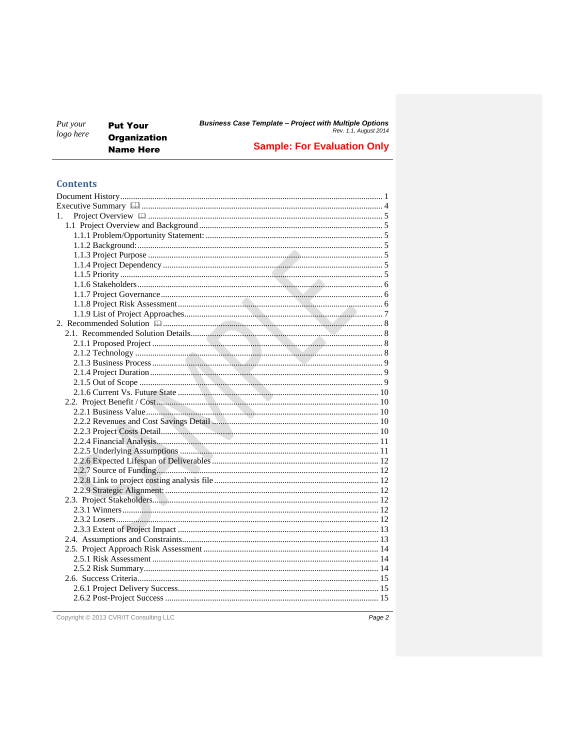| Put your<br>logo here | <b>Put Your</b>                         | <b>Business Case Template - Project with Multiple Options</b><br>Rev. 1.1, August 2014 |  |  |
|-----------------------|-----------------------------------------|----------------------------------------------------------------------------------------|--|--|
|                       | <b>Organization</b><br><b>Name Here</b> | <b>Sample: For Evaluation Only</b>                                                     |  |  |

### **Contents**

| 1. |  |
|----|--|
|    |  |
|    |  |
|    |  |
|    |  |
|    |  |
|    |  |
|    |  |
|    |  |
|    |  |
|    |  |
|    |  |
|    |  |
|    |  |
|    |  |
|    |  |
|    |  |
|    |  |
|    |  |
|    |  |
|    |  |
|    |  |
|    |  |
|    |  |
|    |  |
|    |  |
|    |  |
|    |  |
|    |  |
|    |  |
|    |  |
|    |  |
|    |  |
|    |  |
|    |  |
|    |  |
|    |  |
|    |  |
|    |  |
|    |  |
|    |  |

Copyright © 2013 CVR/IT Consulting LLC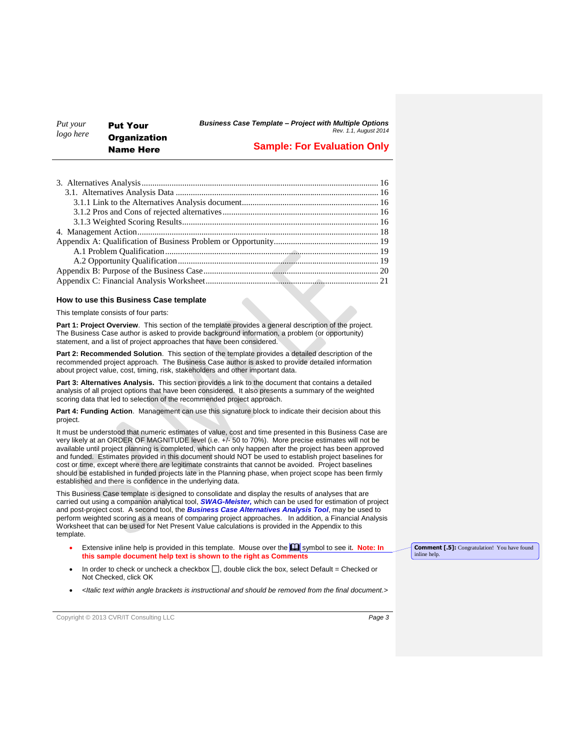#### *Put your logo here* Put Your **Organization** Name Here

#### *Business Case Template – Project with Multiple Options Rev. 1.1, August 2014*

### **Sample: For Evaluation Only**

#### **How to use this Business Case template**

This template consists of four parts:

**Part 1: Project Overview**. This section of the template provides a general description of the project. The Business Case author is asked to provide background information, a problem (or opportunity) statement, and a list of project approaches that have been considered.

**Part 2: Recommended Solution**. This section of the template provides a detailed description of the recommended project approach. The Business Case author is asked to provide detailed information about project value, cost, timing, risk, stakeholders and other important data.

**Part 3: Alternatives Analysis.** This section provides a link to the document that contains a detailed analysis of all project options that have been considered. It also presents a summary of the weighted scoring data that led to selection of the recommended project approach.

**Part 4: Funding Action**. Management can use this signature block to indicate their decision about this project.

It must be understood that numeric estimates of value, cost and time presented in this Business Case are very likely at an ORDER OF MAGNITUDE level (i.e. +/- 50 to 70%). More precise estimates will not be available until project planning is completed, which can only happen after the project has been approved and funded. Estimates provided in this document should NOT be used to establish project baselines for cost or time, except where there are legitimate constraints that cannot be avoided. Project baselines should be established in funded projects late in the Planning phase, when project scope has been firmly established and there is confidence in the underlying data.

This Business Case template is designed to consolidate and display the results of analyses that are carried out using a companion analytical tool, *SWAG-Meister,* which can be used for estimation of project and post-project cost. A second tool, the *Business Case Alternatives Analysis Tool*, may be used to perform weighted scoring as a means of comparing project approaches. In addition, a Financial Analysis Worksheet that can be used for Net Present Value calculations is provided in the Appendix to this template.

- Extensive inline help is provided in this template. Mouse over the **Q** symbol to see it. Note: In **this sample document help text is shown to the right as Comments**
- In order to check or uncheck a checkbox  $\Box$ , double click the box, select Default = Checked or Not Checked, click OK
- *<Italic text within angle brackets is instructional and should be removed from the final document.>*

Copyright © 2013 CVR/IT Consulting LLC *Page 3*

**Comment [.5]:** Congratulation! You have found inline help.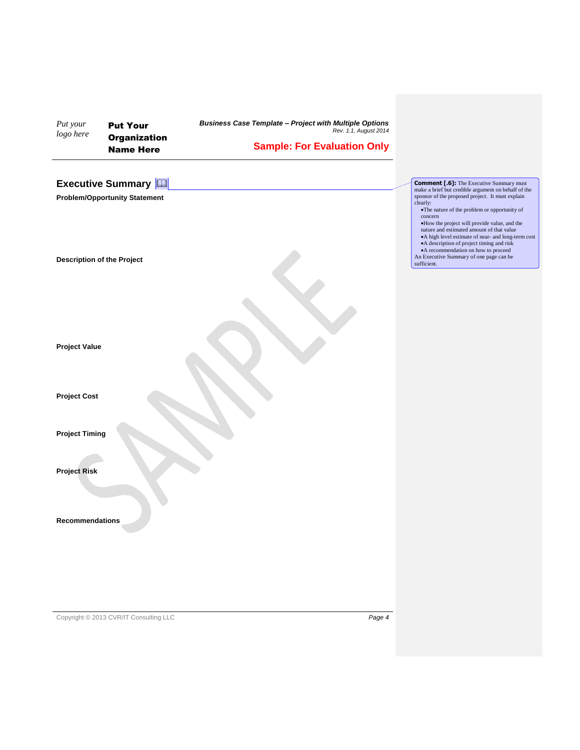<span id="page-3-0"></span>

| Put your<br>logo here             | <b>Put Your</b><br><b>Organization</b><br><b>Name Here</b>            | <b>Business Case Template - Project with Multiple Options</b><br>Rev. 1.1, August 2014<br><b>Sample: For Evaluation Only</b> |                                                                                                                                                                                                                                                                                                                                                                                                                                                                               |
|-----------------------------------|-----------------------------------------------------------------------|------------------------------------------------------------------------------------------------------------------------------|-------------------------------------------------------------------------------------------------------------------------------------------------------------------------------------------------------------------------------------------------------------------------------------------------------------------------------------------------------------------------------------------------------------------------------------------------------------------------------|
|                                   | <b>Executive Summary [11]</b><br><b>Problem/Opportunity Statement</b> |                                                                                                                              | <b>Comment [.6]:</b> The Executive Summary must<br>make a brief but credible argument on behalf of the<br>sponsor of the proposed project. It must explain<br>clearly:<br>. The nature of the problem or opportunity of<br>concern<br>. How the project will provide value, and the<br>nature and estimated amount of that value<br>• A high level estimate of near- and long-term cost<br>• A description of project timing and risk<br>• A recommendation on how to proceed |
| <b>Description of the Project</b> |                                                                       |                                                                                                                              | An Executive Summary of one page can be<br>sufficient.                                                                                                                                                                                                                                                                                                                                                                                                                        |
| <b>Project Value</b>              |                                                                       |                                                                                                                              |                                                                                                                                                                                                                                                                                                                                                                                                                                                                               |
| <b>Project Cost</b>               |                                                                       |                                                                                                                              |                                                                                                                                                                                                                                                                                                                                                                                                                                                                               |
| <b>Project Timing</b>             |                                                                       |                                                                                                                              |                                                                                                                                                                                                                                                                                                                                                                                                                                                                               |
| <b>Project Risk</b>               |                                                                       |                                                                                                                              |                                                                                                                                                                                                                                                                                                                                                                                                                                                                               |
| <b>Recommendations</b>            |                                                                       |                                                                                                                              |                                                                                                                                                                                                                                                                                                                                                                                                                                                                               |
|                                   |                                                                       |                                                                                                                              |                                                                                                                                                                                                                                                                                                                                                                                                                                                                               |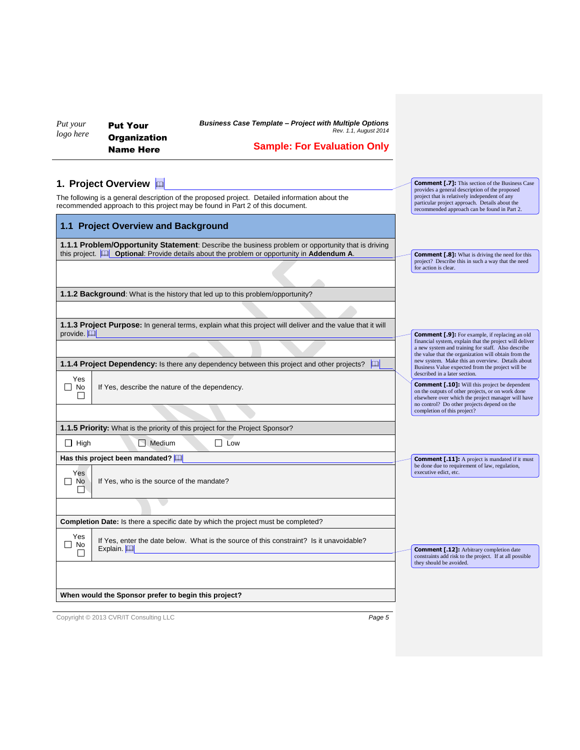*Put your logo here*

Put Your **Organization** Name Here

*Business Case Template – Project with Multiple Options Rev. 1.1, August 2014*

## **Sample: For Evaluation Only**

**Comment [.7]:** This section of the Business Case<br>provides a general description of the proposed<br>project that is relatively independent of any<br>particular project approach. Details about the<br>precommended approach can be fou

### <span id="page-4-0"></span>**1. Project Overview**

The following is a general description of the proposed project. Detailed information about the recommended approach to this project may be found in Part 2 of this document.

<span id="page-4-5"></span><span id="page-4-4"></span><span id="page-4-3"></span><span id="page-4-2"></span><span id="page-4-1"></span>

| 1.1 Project Overview and Background                                                                                                                                                                             |                                                                                                                                                                                                                |  |  |  |
|-----------------------------------------------------------------------------------------------------------------------------------------------------------------------------------------------------------------|----------------------------------------------------------------------------------------------------------------------------------------------------------------------------------------------------------------|--|--|--|
| 1.1.1 Problem/Opportunity Statement: Describe the business problem or opportunity that is driving<br>this project. <b>[42]</b> Optional: Provide details about the problem or opportunity in <b>Addendum A.</b> | <b>Comment [.8]:</b> What is driving the need for this                                                                                                                                                         |  |  |  |
|                                                                                                                                                                                                                 | project? Describe this in such a way that the need<br>for action is clear.                                                                                                                                     |  |  |  |
| 1.1.2 Background: What is the history that led up to this problem/opportunity?                                                                                                                                  |                                                                                                                                                                                                                |  |  |  |
|                                                                                                                                                                                                                 |                                                                                                                                                                                                                |  |  |  |
| 1.1.3 Project Purpose: In general terms, explain what this project will deliver and the value that it will<br>provide. $ \mathbb{Q} $                                                                           | <b>Comment [.9]:</b> For example, if replacing an old                                                                                                                                                          |  |  |  |
|                                                                                                                                                                                                                 | financial system, explain that the project will deliver<br>a new system and training for staff. Also describe<br>the value that the organization will obtain from the                                          |  |  |  |
| <b>1.1.4 Project Dependency:</b> Is there any dependency between this project and other projects?<br>leal                                                                                                       | new system. Make this an overview. Details about<br>Business Value expected from the project will be<br>described in a later section.                                                                          |  |  |  |
| Yes<br>No<br>If Yes, describe the nature of the dependency.<br>$\Box$                                                                                                                                           | <b>Comment [.10]:</b> Will this project be dependent<br>on the outputs of other projects, or on work done<br>elsewhere over which the project manager will have<br>no control? Do other projects depend on the |  |  |  |
|                                                                                                                                                                                                                 | completion of this project?                                                                                                                                                                                    |  |  |  |
| 1.1.5 Priority: What is the priority of this project for the Project Sponsor?                                                                                                                                   |                                                                                                                                                                                                                |  |  |  |
| $\Box$ Medium<br>$\Box$ Low<br>$\Box$ High                                                                                                                                                                      |                                                                                                                                                                                                                |  |  |  |
| Has this project been mandated?                                                                                                                                                                                 | <b>Comment [.11]:</b> A project is mandated if it must<br>be done due to requirement of law, regulation,                                                                                                       |  |  |  |
| executive edict, etc.<br>Yes<br>If Yes, who is the source of the mandate?<br>No<br>$\mathsf{L}$                                                                                                                 |                                                                                                                                                                                                                |  |  |  |
|                                                                                                                                                                                                                 |                                                                                                                                                                                                                |  |  |  |
| <b>Completion Date:</b> Is there a specific date by which the project must be completed?                                                                                                                        |                                                                                                                                                                                                                |  |  |  |
| Yes<br>If Yes, enter the date below. What is the source of this constraint? Is it unavoidable?<br>No<br>Explain.                                                                                                | <b>Comment [.12]:</b> Arbitrary completion date                                                                                                                                                                |  |  |  |
|                                                                                                                                                                                                                 | constraints add risk to the project. If at all possible<br>they should be avoided.                                                                                                                             |  |  |  |
|                                                                                                                                                                                                                 |                                                                                                                                                                                                                |  |  |  |
| When would the Sponsor prefer to begin this project?                                                                                                                                                            |                                                                                                                                                                                                                |  |  |  |
|                                                                                                                                                                                                                 |                                                                                                                                                                                                                |  |  |  |

<span id="page-4-6"></span>Copyright © 2013 CVR/IT Consulting LLC *Page 5*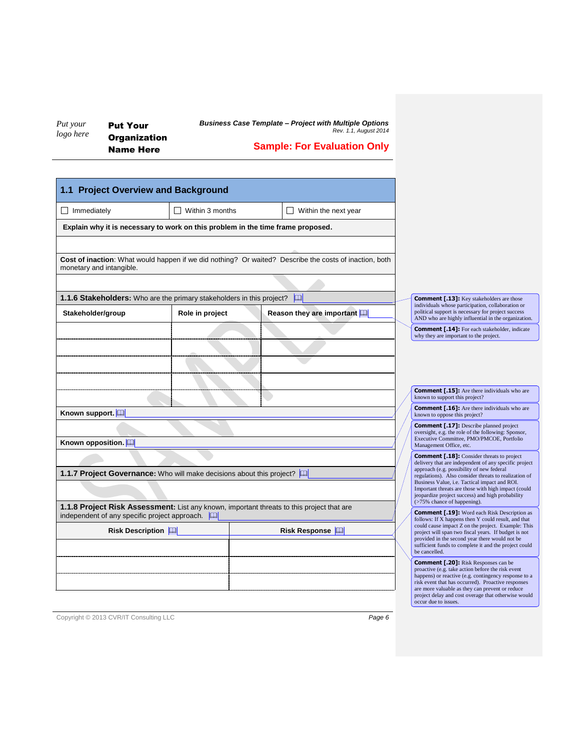*Put your logo here* Put Your **Organization**  *Business Case Template – Project with Multiple Options Rev. 1.1, August 2014*

Name Here

**Sample: For Evaluation Only**

<span id="page-5-0"></span>

| 1.1 Project Overview and Background                                   |                                                                                 |                                                                                                        |                                                                                                                                                                                                                                                                                                                                                  |
|-----------------------------------------------------------------------|---------------------------------------------------------------------------------|--------------------------------------------------------------------------------------------------------|--------------------------------------------------------------------------------------------------------------------------------------------------------------------------------------------------------------------------------------------------------------------------------------------------------------------------------------------------|
| $\Box$ Immediately                                                    | Within 3 months                                                                 | Within the next year                                                                                   |                                                                                                                                                                                                                                                                                                                                                  |
|                                                                       | Explain why it is necessary to work on this problem in the time frame proposed. |                                                                                                        |                                                                                                                                                                                                                                                                                                                                                  |
|                                                                       |                                                                                 |                                                                                                        |                                                                                                                                                                                                                                                                                                                                                  |
| monetary and intangible.                                              |                                                                                 | Cost of inaction: What would happen if we did nothing? Or waited? Describe the costs of inaction, both |                                                                                                                                                                                                                                                                                                                                                  |
|                                                                       |                                                                                 |                                                                                                        |                                                                                                                                                                                                                                                                                                                                                  |
|                                                                       | 1.1.6 Stakeholders: Who are the primary stakeholders in this project?           | $\mathbb{R}$                                                                                           | <b>Comment [.13]:</b> Key stakeholders are those<br>individuals whose participation, collaboration or                                                                                                                                                                                                                                            |
| Stakeholder/group                                                     | Role in project                                                                 | Reason they are important [11]                                                                         | political support is necessary for project success<br>AND who are highly influential in the organization.                                                                                                                                                                                                                                        |
|                                                                       |                                                                                 |                                                                                                        | <b>Comment [.14]:</b> For each stakeholder, indicate<br>why they are important to the project.                                                                                                                                                                                                                                                   |
|                                                                       |                                                                                 |                                                                                                        |                                                                                                                                                                                                                                                                                                                                                  |
|                                                                       |                                                                                 |                                                                                                        | <b>Comment [.15]:</b> Are there individuals who are<br>known to support this project?                                                                                                                                                                                                                                                            |
| Known support. [11]                                                   |                                                                                 |                                                                                                        | <b>Comment [.16]:</b> Are there individuals who are<br>known to oppose this project?                                                                                                                                                                                                                                                             |
|                                                                       |                                                                                 |                                                                                                        | <b>Comment [.17]:</b> Describe planned project<br>oversight, e.g. the role of the following: Sponsor,                                                                                                                                                                                                                                            |
| Known opposition.                                                     |                                                                                 |                                                                                                        | Executive Committee, PMO/PMCOE, Portfolio<br>Management Office, etc.                                                                                                                                                                                                                                                                             |
|                                                                       |                                                                                 |                                                                                                        | <b>Comment [.18]:</b> Consider threats to project<br>delivery that are independent of any specific project                                                                                                                                                                                                                                       |
| 1.1.7 Project Governance: Who will make decisions about this project? |                                                                                 |                                                                                                        | approach (e.g. possibility of new federal<br>regulations). Also consider threats to realization of                                                                                                                                                                                                                                               |
|                                                                       |                                                                                 |                                                                                                        | Business Value, i.e. Tactical impact and ROI.<br>Important threats are those with high impact (could<br>jeopardize project success) and high probability                                                                                                                                                                                         |
| independent of any specific project approach. $\Box$                  |                                                                                 | 1.1.8 Project Risk Assessment: List any known, important threats to this project that are              | (>75% chance of happening).<br><b>Comment [.19]:</b> Word each Risk Description as<br>follows: If X happens then Y could result, and that                                                                                                                                                                                                        |
| <b>Risk Description</b>                                               |                                                                                 | Risk Response                                                                                          | could cause impact Z on the project. Example: This<br>project will span two fiscal years. If budget is not<br>provided in the second year there would not be<br>sufficient funds to complete it and the project could<br>be cancelled.                                                                                                           |
|                                                                       |                                                                                 |                                                                                                        | <b>Comment [.20]:</b> Risk Responses can be<br>proactive (e.g. take action before the risk event<br>happens) or reactive (e.g. contingency response to a<br>risk event that has occurred). Proactive responses<br>are more valuable as they can prevent or reduce<br>project delay and cost overage that otherwise would<br>occur due to issues. |

<span id="page-5-2"></span><span id="page-5-1"></span>Copyright © 2013 CVR/IT Consulting LLC *Page 6*